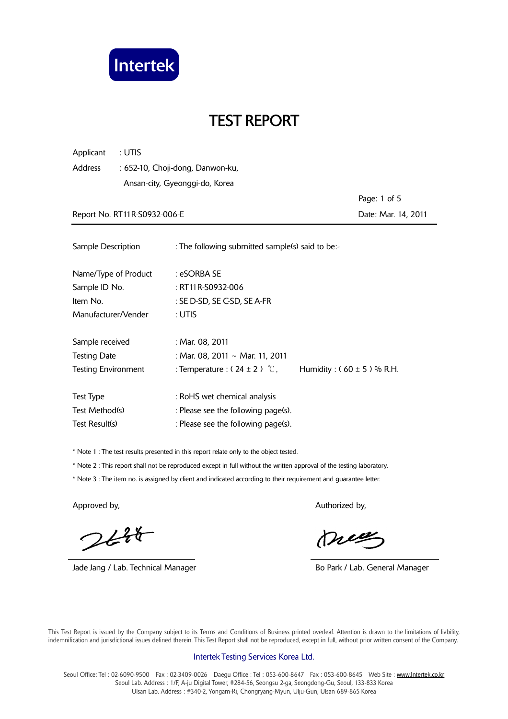

Applicant : UTIS Address : 652-10, Choji-dong, Danwon-ku, Ansan-city, Gyeonggi-do, Korea

 Page: 1 of 5 Report No. RT11R-S0932-006-E **Date: Mar. 14, 2011** 

| Sample Description         | : The following submitted sample(s) said to be:- |                               |
|----------------------------|--------------------------------------------------|-------------------------------|
| Name/Type of Product       | : eSORBA SE                                      |                               |
| Sample ID No.              | : RT11R-S0932-006                                |                               |
| Item No.                   | : SE D-SD, SE C-SD, SE A-FR                      |                               |
| Manufacturer/Vender        | : UTIS                                           |                               |
| Sample received            | : Mar. 08, 2011                                  |                               |
| <b>Testing Date</b>        | : Mar. 08, 2011 ~ Mar. 11, 2011                  |                               |
| <b>Testing Environment</b> | : Temperature : $(24 \pm 2)$ °C,                 | Humidity: $(60 \pm 5)$ % R.H. |
| <b>Test Type</b>           | : RoHS wet chemical analysis                     |                               |
| Test Method(s)             | : Please see the following page(s).              |                               |
| Test Result(s)             | : Please see the following page(s).              |                               |

\* Note 1 : The test results presented in this report relate only to the object tested.

\* Note 2 : This report shall not be reproduced except in full without the written approval of the testing laboratory.

\* Note 3 : The item no. is assigned by client and indicated according to their requirement and guarantee letter.

 $244$ 

Jade Jang / Lab. Technical Manager **Bo Park / Lab. General Manager** Bo Park / Lab. General Manager

Approved by, Authorized by, Authorized by, Authorized by,

meg

 This Test Report is issued by the Company subject to its Terms and Conditions of Business printed overleaf. Attention is drawn to the limitations of liability, indemnification and jurisdictional issues defined therein. This Test Report shall not be reproduced, except in full, without prior written consent of the Company.

#### Intertek Testing Services Korea Ltd.

Seoul Office: Tel: 02-6090-9500 Fax: 02-3409-0026 Daegu Office: Tel: 053-600-8647 Fax: 053-600-8645 Web Site: www.Intertek.co.kr Seoul Lab. Address : 1/F, A-ju Digital Tower, #284-56, Seongsu 2-ga, Seongdong-Gu, Seoul, 133-833 Korea Ulsan Lab. Address : #340-2, Yongam-Ri, Chongryang-Myun, Ulju-Gun, Ulsan 689-865 Korea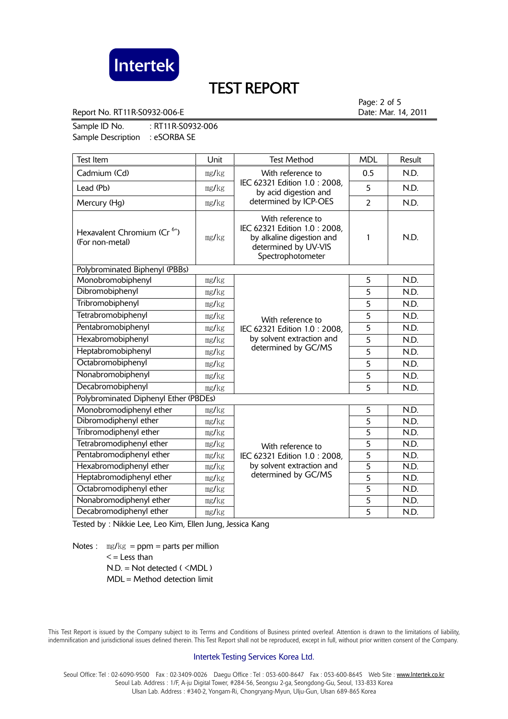

Report No. RT11R-S0932-006-E **Date: Mar. 14, 2011** 

Page: 2 of 5

Sample ID No. : RT11R-S0932-006 Sample Description : eSORBA SE

| <b>Test Item</b>                                           | Unit  | <b>Test Method</b>                                                                                                                                                                                                  | <b>MDL</b>     | Result |
|------------------------------------------------------------|-------|---------------------------------------------------------------------------------------------------------------------------------------------------------------------------------------------------------------------|----------------|--------|
| Cadmium (Cd)                                               | mg/kg | With reference to<br>IEC 62321 Edition 1.0: 2008,<br>by acid digestion and<br>determined by ICP-OES                                                                                                                 | 0.5            | N.D.   |
| Lead (Pb)                                                  | mg/kg |                                                                                                                                                                                                                     | 5              | N.D.   |
| Mercury (Hg)                                               | mg/kg |                                                                                                                                                                                                                     | $\overline{2}$ | N.D.   |
| Hexavalent Chromium (Cr <sup>6+</sup> )<br>(For non-metal) | mg/kg | With reference to<br>IEC 62321 Edition 1.0: 2008,<br>by alkaline digestion and<br>determined by UV-VIS<br>Spectrophotometer                                                                                         | 1              | N.D.   |
| Polybrominated Biphenyl (PBBs)                             |       |                                                                                                                                                                                                                     |                |        |
| Monobromobiphenyl                                          | mg/kg | 5<br>5<br>5<br>5<br>With reference to<br>5<br>IEC 62321 Edition 1.0 : 2008,<br>by solvent extraction and<br>5<br>determined by GC/MS<br>5<br>5<br>5<br>5                                                            |                | N.D.   |
| Dibromobiphenyl                                            | mg/kg |                                                                                                                                                                                                                     |                | N.D.   |
| Tribromobiphenyl                                           | mg/kg |                                                                                                                                                                                                                     |                | N.D.   |
| Tetrabromobiphenyl                                         | mg/kg |                                                                                                                                                                                                                     |                | N.D.   |
| Pentabromobiphenyl                                         | mg/kg |                                                                                                                                                                                                                     |                | N.D.   |
| Hexabromobiphenyl                                          | mg/kg |                                                                                                                                                                                                                     |                | N.D.   |
| Heptabromobiphenyl                                         | mg/kg |                                                                                                                                                                                                                     |                | N.D.   |
| Octabromobiphenyl                                          | mg/kg |                                                                                                                                                                                                                     |                | N.D.   |
| Nonabromobiphenyl                                          | mg/kg |                                                                                                                                                                                                                     |                | N.D.   |
| Decabromobiphenyl                                          | mg/kg |                                                                                                                                                                                                                     |                | N.D.   |
| Polybrominated Diphenyl Ether (PBDEs)                      |       |                                                                                                                                                                                                                     |                |        |
| Monobromodiphenyl ether                                    | mg/kg |                                                                                                                                                                                                                     | 5              | N.D.   |
| Dibromodiphenyl ether                                      | mg/kg | 5<br>5<br>5<br>With reference to<br>$\overline{5}$<br>IEC 62321 Edition 1.0: 2008,<br>$\overline{5}$<br>by solvent extraction and<br>determined by GC/MS<br>$\overline{5}$<br>$\overline{5}$<br>5<br>$\overline{5}$ |                | N.D.   |
| Tribromodiphenyl ether                                     | mg/kg |                                                                                                                                                                                                                     |                | N.D.   |
| Tetrabromodiphenyl ether                                   | mg/kg |                                                                                                                                                                                                                     |                | N.D.   |
| Pentabromodiphenyl ether                                   | mg/kg |                                                                                                                                                                                                                     |                | N.D.   |
| Hexabromodiphenyl ether                                    | mg/kg |                                                                                                                                                                                                                     |                | N.D.   |
| Heptabromodiphenyl ether                                   | mg/kg |                                                                                                                                                                                                                     |                | N.D.   |
| Octabromodiphenyl ether                                    | mg/kg |                                                                                                                                                                                                                     |                | N.D.   |
| Nonabromodiphenyl ether                                    | mg/kg |                                                                                                                                                                                                                     | N.D.           |        |
| Decabromodiphenyl ether                                    | mg/kg |                                                                                                                                                                                                                     | N.D.           |        |

Tested by : Nikkie Lee, Leo Kim, Ellen Jung, Jessica Kang

Notes :  $mg/kg = ppm = parts per million$  $\leq$  = Less than  $N.D. = Not detected ( **MDL**)$ MDL = Method detection limit

 This Test Report is issued by the Company subject to its Terms and Conditions of Business printed overleaf. Attention is drawn to the limitations of liability, indemnification and jurisdictional issues defined therein. This Test Report shall not be reproduced, except in full, without prior written consent of the Company.

### Intertek Testing Services Korea Ltd.

Seoul Office: Tel: 02-6090-9500 Fax: 02-3409-0026 Daegu Office: Tel: 053-600-8647 Fax: 053-600-8645 Web Site: www.Intertek.co.kr Seoul Lab. Address : 1/F, A-ju Digital Tower, #284-56, Seongsu 2-ga, Seongdong-Gu, Seoul, 133-833 Korea Ulsan Lab. Address : #340-2, Yongam-Ri, Chongryang-Myun, Ulju-Gun, Ulsan 689-865 Korea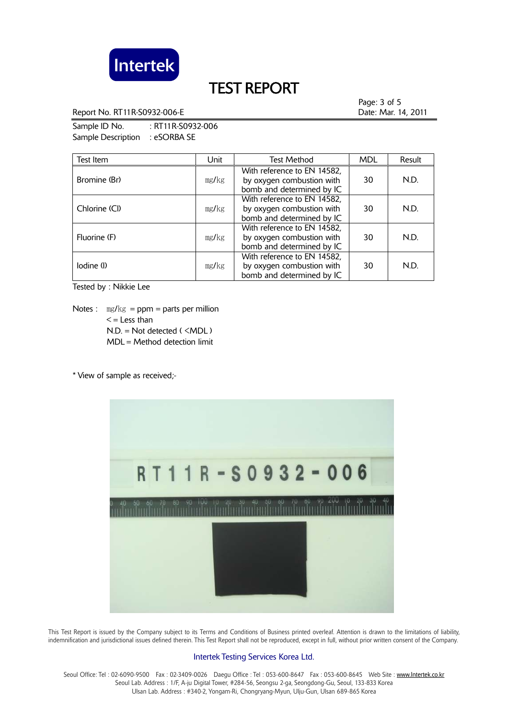

Report No. RT11R-S0932-006-E **Date: Mar. 14, 2011** 

Page: 3 of 5

Sample ID No. : RT11R-S0932-006 Sample Description : eSORBA SE

| Test Item     | Unit  | <b>Test Method</b>                                                                    | <b>MDL</b> | Result |
|---------------|-------|---------------------------------------------------------------------------------------|------------|--------|
| Bromine (Br)  | mg/kg | With reference to EN 14582,<br>by oxygen combustion with<br>bomb and determined by IC | 30         | N.D.   |
| Chlorine (Cl) | mg/kg | With reference to EN 14582,<br>by oxygen combustion with<br>bomb and determined by IC | 30         | N.D.   |
| Fluorine (F)  | mg/kg | With reference to EN 14582,<br>by oxygen combustion with<br>bomb and determined by IC | 30         | N.D.   |
| lodine (l)    | mg/kg | With reference to EN 14582,<br>by oxygen combustion with<br>bomb and determined by IC | 30         | N.D.   |

Tested by : Nikkie Lee

Notes :  $\text{mg/kg} = \text{ppm} = \text{parts per million}$  $\leq$  = Less than N.D. = Not detected ( <MDL ) MDL = Method detection limit

\* View of sample as received;-



 This Test Report is issued by the Company subject to its Terms and Conditions of Business printed overleaf. Attention is drawn to the limitations of liability, indemnification and jurisdictional issues defined therein. This Test Report shall not be reproduced, except in full, without prior written consent of the Company.

### Intertek Testing Services Korea Ltd.

Seoul Office: Tel: 02-6090-9500 Fax: 02-3409-0026 Daegu Office: Tel: 053-600-8647 Fax: 053-600-8645 Web Site: www.Intertek.co.kr Seoul Lab. Address : 1/F, A-ju Digital Tower, #284-56, Seongsu 2-ga, Seongdong-Gu, Seoul, 133-833 Korea Ulsan Lab. Address : #340-2, Yongam-Ri, Chongryang-Myun, Ulju-Gun, Ulsan 689-865 Korea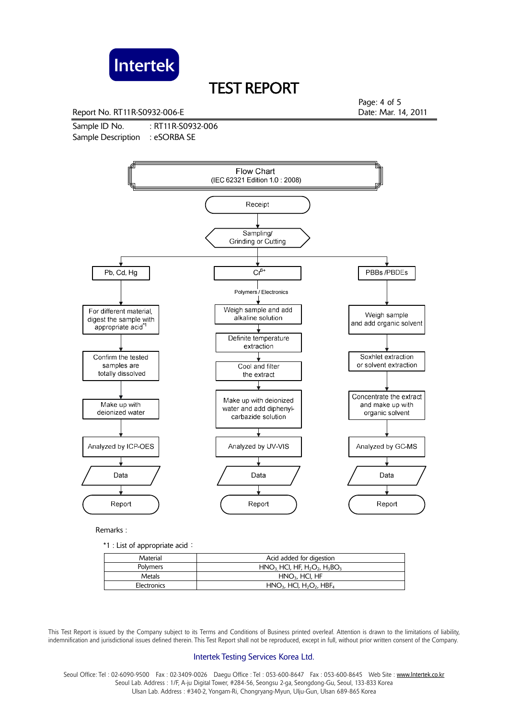

Report No. RT11R-S0932-006-E **Date: Mar. 14, 2011** 

Page: 4 of 5

Sample ID No. : RT11R-S0932-006 Sample Description : eSORBA SE



Remarks :

\*1 : List of appropriate acid:

| Material    | Acid added for digestion                                       |  |
|-------------|----------------------------------------------------------------|--|
| Polymers    | $HNO3 HCl, HF, H2O2, H3BO3$                                    |  |
| Metals      | $HNO3$ , HCI, HF                                               |  |
| Electronics | $HNO3$ , HCl, H <sub>2</sub> O <sub>2</sub> , HBF <sub>4</sub> |  |

 This Test Report is issued by the Company subject to its Terms and Conditions of Business printed overleaf. Attention is drawn to the limitations of liability, indemnification and jurisdictional issues defined therein. This Test Report shall not be reproduced, except in full, without prior written consent of the Company.

### Intertek Testing Services Korea Ltd.

Seoul Office: Tel : 02-6090-9500 Fax : 02-3409-0026 Daegu Office : Tel : 053-600-8647 Fax : 053-600-8645 Web Site : www.Intertek.co.kr Seoul Lab. Address : 1/F, A-ju Digital Tower, #284-56, Seongsu 2-ga, Seongdong-Gu, Seoul, 133-833 Korea Ulsan Lab. Address : #340-2, Yongam-Ri, Chongryang-Myun, Ulju-Gun, Ulsan 689-865 Korea